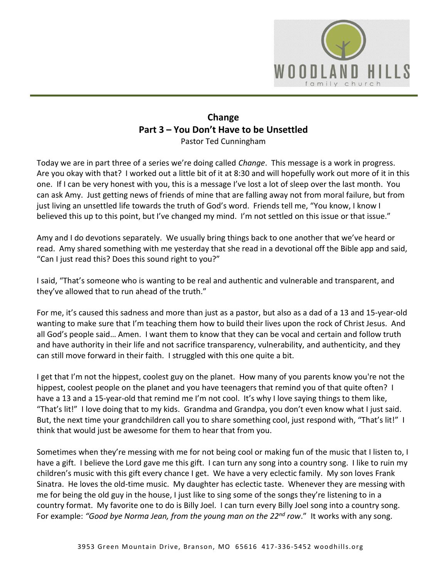

## **Change Part 3 – You Don't Have to be Unsettled** Pastor Ted Cunningham

Today we are in part three of a series we're doing called *Change*. This message is a work in progress. Are you okay with that? I worked out a little bit of it at 8:30 and will hopefully work out more of it in this one. If I can be very honest with you, this is a message I've lost a lot of sleep over the last month. You can ask Amy. Just getting news of friends of mine that are falling away not from moral failure, but from just living an unsettled life towards the truth of God's word. Friends tell me, "You know, I know I believed this up to this point, but I've changed my mind. I'm not settled on this issue or that issue."

Amy and I do devotions separately. We usually bring things back to one another that we've heard or read. Amy shared something with me yesterday that she read in a devotional off the Bible app and said, "Can I just read this? Does this sound right to you?"

I said, "That's someone who is wanting to be real and authentic and vulnerable and transparent, and they've allowed that to run ahead of the truth."

For me, it's caused this sadness and more than just as a pastor, but also as a dad of a 13 and 15-year-old wanting to make sure that I'm teaching them how to build their lives upon the rock of Christ Jesus. And all God's people said… Amen. I want them to know that they can be vocal and certain and follow truth and have authority in their life and not sacrifice transparency, vulnerability, and authenticity, and they can still move forward in their faith. I struggled with this one quite a bit.

I get that I'm not the hippest, coolest guy on the planet. How many of you parents know you're not the hippest, coolest people on the planet and you have teenagers that remind you of that quite often? I have a 13 and a 15-year-old that remind me I'm not cool. It's why I love saying things to them like, "That's lit!" I love doing that to my kids. Grandma and Grandpa, you don't even know what I just said. But, the next time your grandchildren call you to share something cool, just respond with, "That's lit!" I think that would just be awesome for them to hear that from you.

Sometimes when they're messing with me for not being cool or making fun of the music that I listen to, I have a gift. I believe the Lord gave me this gift. I can turn any song into a country song. I like to ruin my children's music with this gift every chance I get. We have a very eclectic family. My son loves Frank Sinatra. He loves the old-time music. My daughter has eclectic taste. Whenever they are messing with me for being the old guy in the house, I just like to sing some of the songs they're listening to in a country format. My favorite one to do is Billy Joel. I can turn every Billy Joel song into a country song. For example: *"Good bye Norma Jean, from the young man on the 22nd row*." It works with any song.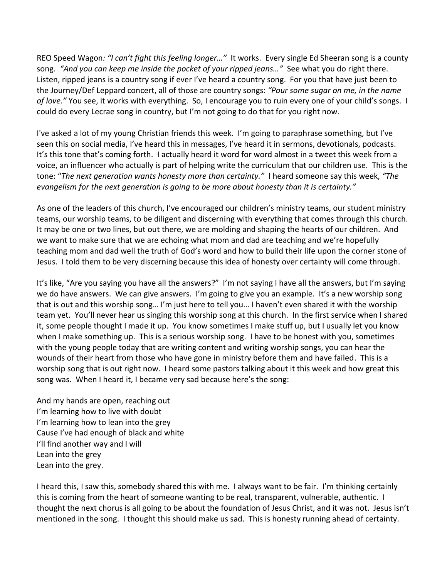REO Speed Wagon*: "I can't fight this feeling longer…"* It works. Every single Ed Sheeran song is a county song. *"And you can keep me inside the pocket of your ripped jeans…"* See what you do right there. Listen, ripped jeans is a country song if ever I've heard a country song. For you that have just been to the Journey/Def Leppard concert, all of those are country songs: *"Pour some sugar on me, in the name of love."* You see, it works with everything. So, I encourage you to ruin every one of your child's songs. I could do every Lecrae song in country, but I'm not going to do that for you right now.

I've asked a lot of my young Christian friends this week. I'm going to paraphrase something, but I've seen this on social media, I've heard this in messages, I've heard it in sermons, devotionals, podcasts. It's this tone that's coming forth. I actually heard it word for word almost in a tweet this week from a voice, an influencer who actually is part of helping write the curriculum that our children use. This is the tone: "*The next generation wants honesty more than certainty."* I heard someone say this week, *"The evangelism for the next generation is going to be more about honesty than it is certainty."* 

As one of the leaders of this church, I've encouraged our children's ministry teams, our student ministry teams, our worship teams, to be diligent and discerning with everything that comes through this church. It may be one or two lines, but out there, we are molding and shaping the hearts of our children. And we want to make sure that we are echoing what mom and dad are teaching and we're hopefully teaching mom and dad well the truth of God's word and how to build their life upon the corner stone of Jesus. I told them to be very discerning because this idea of honesty over certainty will come through.

It's like, "Are you saying you have all the answers?" I'm not saying I have all the answers, but I'm saying we do have answers. We can give answers. I'm going to give you an example. It's a new worship song that is out and this worship song… I'm just here to tell you… I haven't even shared it with the worship team yet. You'll never hear us singing this worship song at this church. In the first service when I shared it, some people thought I made it up. You know sometimes I make stuff up, but I usually let you know when I make something up. This is a serious worship song. I have to be honest with you, sometimes with the young people today that are writing content and writing worship songs, you can hear the wounds of their heart from those who have gone in ministry before them and have failed. This is a worship song that is out right now. I heard some pastors talking about it this week and how great this song was. When I heard it, I became very sad because here's the song:

And my hands are open, reaching out I'm learning how to live with doubt I'm learning how to lean into the grey Cause I've had enough of black and white I'll find another way and I will Lean into the grey Lean into the grey.

I heard this, I saw this, somebody shared this with me. I always want to be fair. I'm thinking certainly this is coming from the heart of someone wanting to be real, transparent, vulnerable, authentic. I thought the next chorus is all going to be about the foundation of Jesus Christ, and it was not. Jesus isn't mentioned in the song. I thought this should make us sad. This is honesty running ahead of certainty.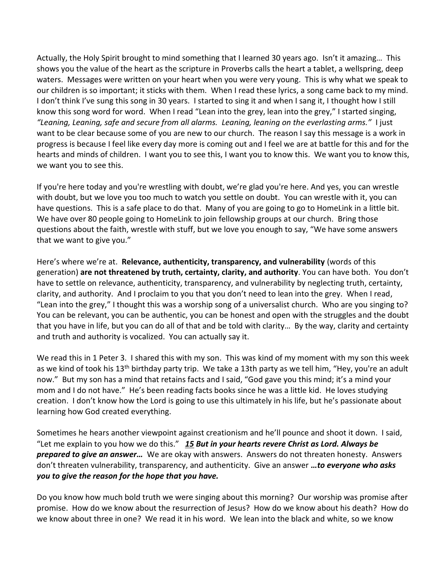Actually, the Holy Spirit brought to mind something that I learned 30 years ago. Isn't it amazing… This shows you the value of the heart as the scripture in Proverbs calls the heart a tablet, a wellspring, deep waters. Messages were written on your heart when you were very young. This is why what we speak to our children is so important; it sticks with them. When I read these lyrics, a song came back to my mind. I don't think I've sung this song in 30 years. I started to sing it and when I sang it, I thought how I still know this song word for word. When I read "Lean into the grey, lean into the grey," I started singing, *"Leaning, Leaning, safe and secure from all alarms. Leaning, leaning on the everlasting arms."* I just want to be clear because some of you are new to our church. The reason I say this message is a work in progress is because I feel like every day more is coming out and I feel we are at battle for this and for the hearts and minds of children. I want you to see this, I want you to know this. We want you to know this, we want you to see this.

If you're here today and you're wrestling with doubt, we're glad you're here. And yes, you can wrestle with doubt, but we love you too much to watch you settle on doubt. You can wrestle with it, you can have questions. This is a safe place to do that. Many of you are going to go to HomeLink in a little bit. We have over 80 people going to HomeLink to join fellowship groups at our church. Bring those questions about the faith, wrestle with stuff, but we love you enough to say, "We have some answers that we want to give you."

Here's where we're at. **Relevance, authenticity, transparency, and vulnerability** (words of this generation) **are not threatened by truth, certainty, clarity, and authority**. You can have both. You don't have to settle on relevance, authenticity, transparency, and vulnerability by neglecting truth, certainty, clarity, and authority. And I proclaim to you that you don't need to lean into the grey. When I read, "Lean into the grey," I thought this was a worship song of a universalist church. Who are you singing to? You can be relevant, you can be authentic, you can be honest and open with the struggles and the doubt that you have in life, but you can do all of that and be told with clarity… By the way, clarity and certainty and truth and authority is vocalized. You can actually say it.

We read this in 1 Peter 3. I shared this with my son. This was kind of my moment with my son this week as we kind of took his 13<sup>th</sup> birthday party trip. We take a 13th party as we tell him, "Hey, you're an adult now." But my son has a mind that retains facts and I said, "God gave you this mind; it's a mind your mom and I do not have." He's been reading facts books since he was a little kid. He loves studying creation. I don't know how the Lord is going to use this ultimately in his life, but he's passionate about learning how God created everything.

Sometimes he hears another viewpoint against creationism and he'll pounce and shoot it down. I said, "Let me explain to you how we do this." *[15](https://www.studylight.org/desk/?q=1pe%203:15&t1=en_niv&sr=1) But in your hearts revere Christ as Lord. Always be prepared to give an answer…* We are okay with answers. Answers do not threaten honesty. Answers don't threaten vulnerability, transparency, and authenticity. Give an answer *…to everyone who asks you to give the reason for the hope that you have.*

Do you know how much bold truth we were singing about this morning? Our worship was promise after promise. How do we know about the resurrection of Jesus? How do we know about his death? How do we know about three in one? We read it in his word. We lean into the black and white, so we know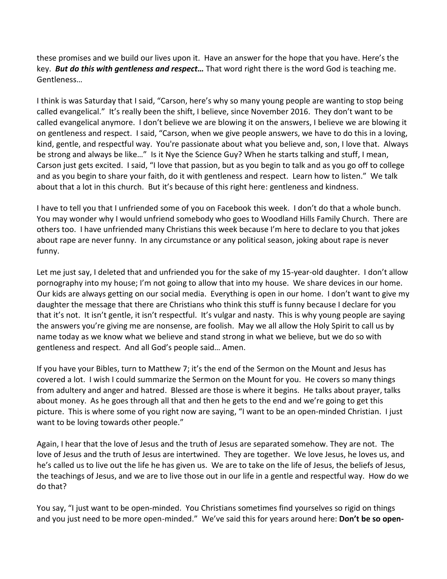these promises and we build our lives upon it. Have an answer for the hope that you have. Here's the key. *But do this with gentleness and respect…* That word right there is the word God is teaching me. Gentleness…

I think is was Saturday that I said, "Carson, here's why so many young people are wanting to stop being called evangelical." It's really been the shift, I believe, since November 2016. They don't want to be called evangelical anymore. I don't believe we are blowing it on the answers, I believe we are blowing it on gentleness and respect. I said, "Carson, when we give people answers, we have to do this in a loving, kind, gentle, and respectful way. You're passionate about what you believe and, son, I love that. Always be strong and always be like..." Is it Nye the Science Guy? When he starts talking and stuff, I mean, Carson just gets excited. I said, "I love that passion, but as you begin to talk and as you go off to college and as you begin to share your faith, do it with gentleness and respect. Learn how to listen." We talk about that a lot in this church. But it's because of this right here: gentleness and kindness.

I have to tell you that I unfriended some of you on Facebook this week. I don't do that a whole bunch. You may wonder why I would unfriend somebody who goes to Woodland Hills Family Church. There are others too. I have unfriended many Christians this week because I'm here to declare to you that jokes about rape are never funny. In any circumstance or any political season, joking about rape is never funny.

Let me just say, I deleted that and unfriended you for the sake of my 15-year-old daughter. I don't allow pornography into my house; I'm not going to allow that into my house. We share devices in our home. Our kids are always getting on our social media. Everything is open in our home. I don't want to give my daughter the message that there are Christians who think this stuff is funny because I declare for you that it's not. It isn't gentle, it isn't respectful. It's vulgar and nasty. This is why young people are saying the answers you're giving me are nonsense, are foolish. May we all allow the Holy Spirit to call us by name today as we know what we believe and stand strong in what we believe, but we do so with gentleness and respect. And all God's people said… Amen.

If you have your Bibles, turn to Matthew 7; it's the end of the Sermon on the Mount and Jesus has covered a lot. I wish I could summarize the Sermon on the Mount for you. He covers so many things from adultery and anger and hatred. Blessed are those is where it begins. He talks about prayer, talks about money. As he goes through all that and then he gets to the end and we're going to get this picture. This is where some of you right now are saying, "I want to be an open-minded Christian. I just want to be loving towards other people."

Again, I hear that the love of Jesus and the truth of Jesus are separated somehow. They are not. The love of Jesus and the truth of Jesus are intertwined. They are together. We love Jesus, he loves us, and he's called us to live out the life he has given us. We are to take on the life of Jesus, the beliefs of Jesus, the teachings of Jesus, and we are to live those out in our life in a gentle and respectful way. How do we do that?

You say, "I just want to be open-minded. You Christians sometimes find yourselves so rigid on things and you just need to be more open-minded." We've said this for years around here: **Don't be so open-**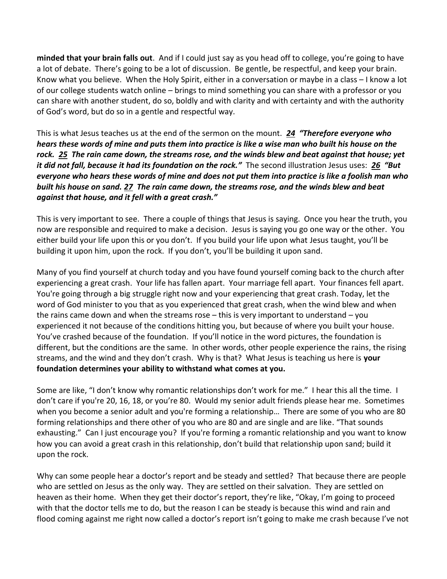**minded that your brain falls out**. And if I could just say as you head off to college, you're going to have a lot of debate. There's going to be a lot of discussion. Be gentle, be respectful, and keep your brain. Know what you believe. When the Holy Spirit, either in a conversation or maybe in a class – I know a lot of our college students watch online – brings to mind something you can share with a professor or you can share with another student, do so, boldly and with clarity and with certainty and with the authority of God's word, but do so in a gentle and respectful way.

This is what Jesus teaches us at the end of the sermon on the mount. *[24](https://www.studylight.org/desk/?q=mt%207:24&t1=en_niv&sr=1) "Therefore everyone who hears these words of mine and puts them into practice is like a wise man who built his house on the rock. [25](https://www.studylight.org/desk/?q=mt%207:25&t1=en_niv&sr=1) The rain came down, the streams rose, and the winds blew and beat against that house; yet it did not fall, because it had its foundation on the rock."* The second illustration Jesus uses: *[26](https://www.studylight.org/desk/?q=mt%207:26&t1=en_niv&sr=1) "But everyone who hears these words of mine and does not put them into practice is like a foolish man who built his house on sand. [27](https://www.studylight.org/desk/?q=mt%207:27&t1=en_niv&sr=1) The rain came down, the streams rose, and the winds blew and beat against that house, and it fell with a great crash."*

This is very important to see. There a couple of things that Jesus is saying. Once you hear the truth, you now are responsible and required to make a decision. Jesus is saying you go one way or the other. You either build your life upon this or you don't. If you build your life upon what Jesus taught, you'll be building it upon him, upon the rock. If you don't, you'll be building it upon sand.

Many of you find yourself at church today and you have found yourself coming back to the church after experiencing a great crash. Your life has fallen apart. Your marriage fell apart. Your finances fell apart. You're going through a big struggle right now and your experiencing that great crash. Today, let the word of God minister to you that as you experienced that great crash, when the wind blew and when the rains came down and when the streams rose  $-$  this is very important to understand  $-$  you experienced it not because of the conditions hitting you, but because of where you built your house. You've crashed because of the foundation. If you'll notice in the word pictures, the foundation is different, but the conditions are the same. In other words, other people experience the rains, the rising streams, and the wind and they don't crash. Why is that? What Jesus is teaching us here is **your foundation determines your ability to withstand what comes at you.** 

Some are like, "I don't know why romantic relationships don't work for me." I hear this all the time. I don't care if you're 20, 16, 18, or you're 80. Would my senior adult friends please hear me. Sometimes when you become a senior adult and you're forming a relationship… There are some of you who are 80 forming relationships and there other of you who are 80 and are single and are like. "That sounds exhausting." Can I just encourage you? If you're forming a romantic relationship and you want to know how you can avoid a great crash in this relationship, don't build that relationship upon sand; build it upon the rock.

Why can some people hear a doctor's report and be steady and settled? That because there are people who are settled on Jesus as the only way. They are settled on their salvation. They are settled on heaven as their home. When they get their doctor's report, they're like, "Okay, I'm going to proceed with that the doctor tells me to do, but the reason I can be steady is because this wind and rain and flood coming against me right now called a doctor's report isn't going to make me crash because I've not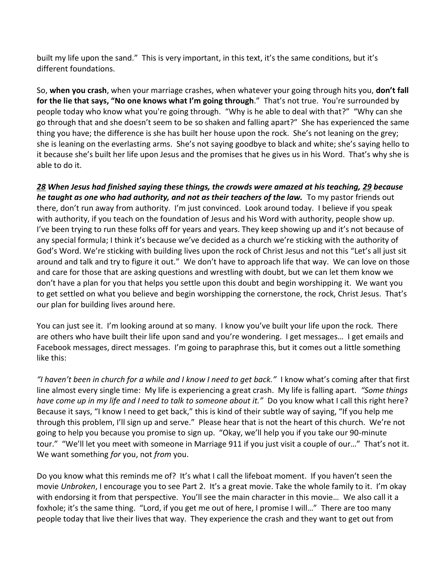built my life upon the sand." This is very important, in this text, it's the same conditions, but it's different foundations.

So, **when you crash**, when your marriage crashes, when whatever your going through hits you, **don't fall for the lie that says, "No one knows what I'm going through**." That's not true. You're surrounded by people today who know what you're going through. "Why is he able to deal with that?" "Why can she go through that and she doesn't seem to be so shaken and falling apart?" She has experienced the same thing you have; the difference is she has built her house upon the rock. She's not leaning on the grey; she is leaning on the everlasting arms. She's not saying goodbye to black and white; she's saying hello to it because she's built her life upon Jesus and the promises that he gives us in his Word. That's why she is able to do it.

*[28](https://www.studylight.org/desk/?q=mt%207:28&t1=en_niv&sr=1) When Jesus had finished saying these things, the crowds were amazed at his teaching, [29](https://www.studylight.org/desk/?q=mt%207:29&t1=en_niv&sr=1) because he taught as one who had authority, and not as their teachers of the law.* To my pastor friends out there, don't run away from authority. I'm just convinced. Look around today. I believe if you speak with authority, if you teach on the foundation of Jesus and his Word with authority, people show up. I've been trying to run these folks off for years and years. They keep showing up and it's not because of any special formula; I think it's because we've decided as a church we're sticking with the authority of God's Word. We're sticking with building lives upon the rock of Christ Jesus and not this "Let's all just sit around and talk and try to figure it out." We don't have to approach life that way. We can love on those and care for those that are asking questions and wrestling with doubt, but we can let them know we don't have a plan for you that helps you settle upon this doubt and begin worshipping it. We want you to get settled on what you believe and begin worshipping the cornerstone, the rock, Christ Jesus. That's our plan for building lives around here.

You can just see it. I'm looking around at so many. I know you've built your life upon the rock. There are others who have built their life upon sand and you're wondering. I get messages… I get emails and Facebook messages, direct messages. I'm going to paraphrase this, but it comes out a little something like this:

*"I haven't been in church for a while and I know I need to get back."* I know what's coming after that first line almost every single time: My life is experiencing a great crash. My life is falling apart. *"Some things have come up in my life and I need to talk to someone about it."* Do you know what I call this right here? Because it says, "I know I need to get back," this is kind of their subtle way of saying, "If you help me through this problem, I'll sign up and serve." Please hear that is not the heart of this church. We're not going to help you because you promise to sign up. "Okay, we'll help you if you take our 90-minute tour." "We'll let you meet with someone in Marriage 911 if you just visit a couple of our…" That's not it. We want something *for* you, not *from* you.

Do you know what this reminds me of? It's what I call the lifeboat moment. If you haven't seen the movie *Unbroken*, I encourage you to see Part 2. It's a great movie. Take the whole family to it. I'm okay with endorsing it from that perspective. You'll see the main character in this movie... We also call it a foxhole; it's the same thing. "Lord, if you get me out of here, I promise I will…" There are too many people today that live their lives that way. They experience the crash and they want to get out from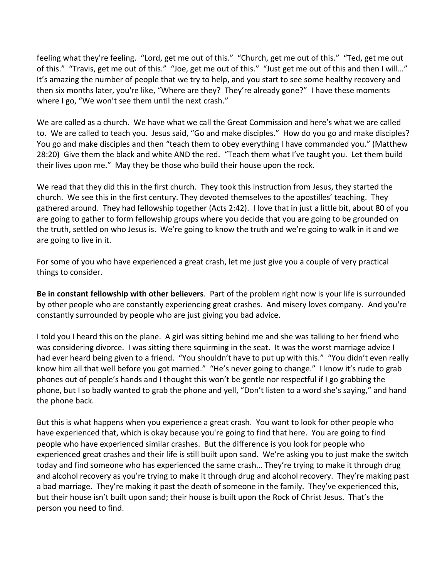feeling what they're feeling. "Lord, get me out of this." "Church, get me out of this." "Ted, get me out of this." "Travis, get me out of this." "Joe, get me out of this." "Just get me out of this and then I will…" It's amazing the number of people that we try to help, and you start to see some healthy recovery and then six months later, you're like, "Where are they? They're already gone?" I have these moments where I go, "We won't see them until the next crash."

We are called as a church. We have what we call the Great Commission and here's what we are called to. We are called to teach you. Jesus said, "Go and make disciples." How do you go and make disciples? You go and make disciples and then "teach them to obey everything I have commanded you." (Matthew 28:20) Give them the black and white AND the red. "Teach them what I've taught you. Let them build their lives upon me." May they be those who build their house upon the rock.

We read that they did this in the first church. They took this instruction from Jesus, they started the church. We see this in the first century. They devoted themselves to the apostilles' teaching. They gathered around. They had fellowship together (Acts 2:42). I love that in just a little bit, about 80 of you are going to gather to form fellowship groups where you decide that you are going to be grounded on the truth, settled on who Jesus is. We're going to know the truth and we're going to walk in it and we are going to live in it.

For some of you who have experienced a great crash, let me just give you a couple of very practical things to consider.

**Be in constant fellowship with other believers**. Part of the problem right now is your life is surrounded by other people who are constantly experiencing great crashes. And misery loves company. And you're constantly surrounded by people who are just giving you bad advice.

I told you I heard this on the plane. A girl was sitting behind me and she was talking to her friend who was considering divorce. I was sitting there squirming in the seat. It was the worst marriage advice I had ever heard being given to a friend. "You shouldn't have to put up with this." "You didn't even really know him all that well before you got married." "He's never going to change." I know it's rude to grab phones out of people's hands and I thought this won't be gentle nor respectful if I go grabbing the phone, but I so badly wanted to grab the phone and yell, "Don't listen to a word she's saying," and hand the phone back.

But this is what happens when you experience a great crash. You want to look for other people who have experienced that, which is okay because you're going to find that here. You are going to find people who have experienced similar crashes. But the difference is you look for people who experienced great crashes and their life is still built upon sand. We're asking you to just make the switch today and find someone who has experienced the same crash… They're trying to make it through drug and alcohol recovery as you're trying to make it through drug and alcohol recovery. They're making past a bad marriage. They're making it past the death of someone in the family. They've experienced this, but their house isn't built upon sand; their house is built upon the Rock of Christ Jesus. That's the person you need to find.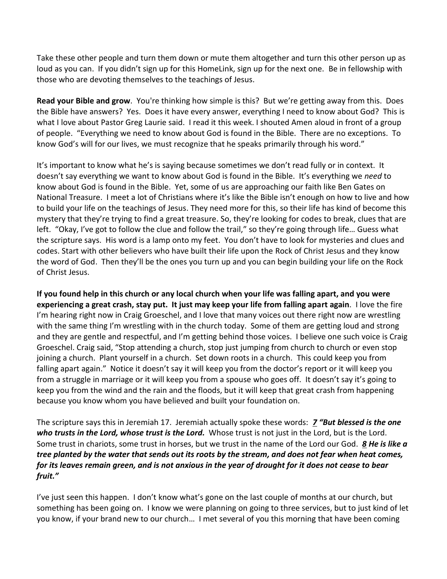Take these other people and turn them down or mute them altogether and turn this other person up as loud as you can. If you didn't sign up for this HomeLink, sign up for the next one. Be in fellowship with those who are devoting themselves to the teachings of Jesus.

**Read your Bible and grow**. You're thinking how simple is this? But we're getting away from this. Does the Bible have answers? Yes. Does it have every answer, everything I need to know about God? This is what I love about Pastor Greg Laurie said. I read it this week. I shouted Amen aloud in front of a group of people. "Everything we need to know about God is found in the Bible. There are no exceptions. To know God's will for our lives, we must recognize that he speaks primarily through his word."

It's important to know what he's is saying because sometimes we don't read fully or in context. It doesn't say everything we want to know about God is found in the Bible. It's everything we *need* to know about God is found in the Bible. Yet, some of us are approaching our faith like Ben Gates on National Treasure. I meet a lot of Christians where it's like the Bible isn't enough on how to live and how to build your life on the teachings of Jesus. They need more for this, so their life has kind of become this mystery that they're trying to find a great treasure. So, they're looking for codes to break, clues that are left. "Okay, I've got to follow the clue and follow the trail," so they're going through life… Guess what the scripture says. His word is a lamp onto my feet. You don't have to look for mysteries and clues and codes. Start with other believers who have built their life upon the Rock of Christ Jesus and they know the word of God. Then they'll be the ones you turn up and you can begin building your life on the Rock of Christ Jesus.

**If you found help in this church or any local church when your life was falling apart, and you were experiencing a great crash, stay put. It just may keep your life from falling apart again**. I love the fire I'm hearing right now in Craig Groeschel, and I love that many voices out there right now are wrestling with the same thing I'm wrestling with in the church today. Some of them are getting loud and strong and they are gentle and respectful, and I'm getting behind those voices. I believe one such voice is Craig Groeschel. Craig said, "Stop attending a church, stop just jumping from church to church or even stop joining a church. Plant yourself in a church. Set down roots in a church. This could keep you from falling apart again." Notice it doesn't say it will keep you from the doctor's report or it will keep you from a struggle in marriage or it will keep you from a spouse who goes off. It doesn't say it's going to keep you from the wind and the rain and the floods, but it will keep that great crash from happening because you know whom you have believed and built your foundation on.

The scripture says this in Jeremiah 17. Jeremiah actually spoke these words: *[7](https://www.studylight.org/desk/?q=jer%2017:7&t1=en_niv&sr=1) "But blessed is the one who trusts in the Lord, whose trust is the Lord.* Whose trust is not just in the Lord, but is the Lord. Some trust in chariots, some trust in horses, but we trust in the name of the Lord our God. *[8](https://www.studylight.org/desk/?q=jer%2017:8&t1=en_niv&sr=1) He is like a tree planted by the water that sends out its roots by the stream, and does not fear when heat comes, for its leaves remain green, and is not anxious in the year of drought for it does not cease to bear fruit."*

I've just seen this happen. I don't know what's gone on the last couple of months at our church, but something has been going on. I know we were planning on going to three services, but to just kind of let you know, if your brand new to our church… I met several of you this morning that have been coming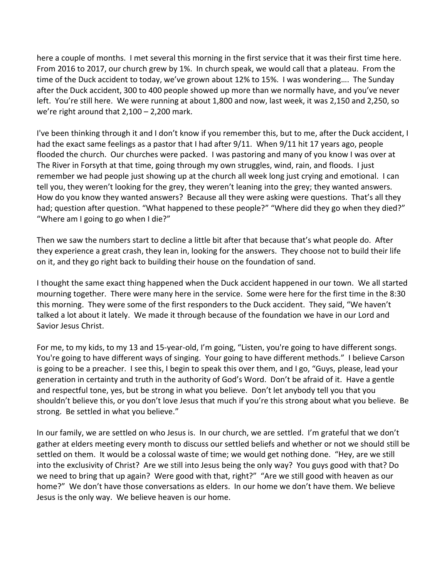here a couple of months. I met several this morning in the first service that it was their first time here. From 2016 to 2017, our church grew by 1%. In church speak, we would call that a plateau. From the time of the Duck accident to today, we've grown about 12% to 15%. I was wondering…. The Sunday after the Duck accident, 300 to 400 people showed up more than we normally have, and you've never left. You're still here. We were running at about 1,800 and now, last week, it was 2,150 and 2,250, so we're right around that 2,100 – 2,200 mark.

I've been thinking through it and I don't know if you remember this, but to me, after the Duck accident, I had the exact same feelings as a pastor that I had after 9/11. When 9/11 hit 17 years ago, people flooded the church. Our churches were packed. I was pastoring and many of you know I was over at The River in Forsyth at that time, going through my own struggles, wind, rain, and floods. I just remember we had people just showing up at the church all week long just crying and emotional. I can tell you, they weren't looking for the grey, they weren't leaning into the grey; they wanted answers. How do you know they wanted answers? Because all they were asking were questions. That's all they had; question after question. "What happened to these people?" "Where did they go when they died?" "Where am I going to go when I die?"

Then we saw the numbers start to decline a little bit after that because that's what people do. After they experience a great crash, they lean in, looking for the answers. They choose not to build their life on it, and they go right back to building their house on the foundation of sand.

I thought the same exact thing happened when the Duck accident happened in our town. We all started mourning together. There were many here in the service. Some were here for the first time in the 8:30 this morning. They were some of the first responders to the Duck accident. They said, "We haven't talked a lot about it lately. We made it through because of the foundation we have in our Lord and Savior Jesus Christ.

For me, to my kids, to my 13 and 15-year-old, I'm going, "Listen, you're going to have different songs. You're going to have different ways of singing. Your going to have different methods." I believe Carson is going to be a preacher. I see this, I begin to speak this over them, and I go, "Guys, please, lead your generation in certainty and truth in the authority of God's Word. Don't be afraid of it. Have a gentle and respectful tone, yes, but be strong in what you believe. Don't let anybody tell you that you shouldn't believe this, or you don't love Jesus that much if you're this strong about what you believe. Be strong. Be settled in what you believe."

In our family, we are settled on who Jesus is. In our church, we are settled. I'm grateful that we don't gather at elders meeting every month to discuss our settled beliefs and whether or not we should still be settled on them. It would be a colossal waste of time; we would get nothing done. "Hey, are we still into the exclusivity of Christ? Are we still into Jesus being the only way? You guys good with that? Do we need to bring that up again? Were good with that, right?" "Are we still good with heaven as our home?" We don't have those conversations as elders. In our home we don't have them. We believe Jesus is the only way. We believe heaven is our home.